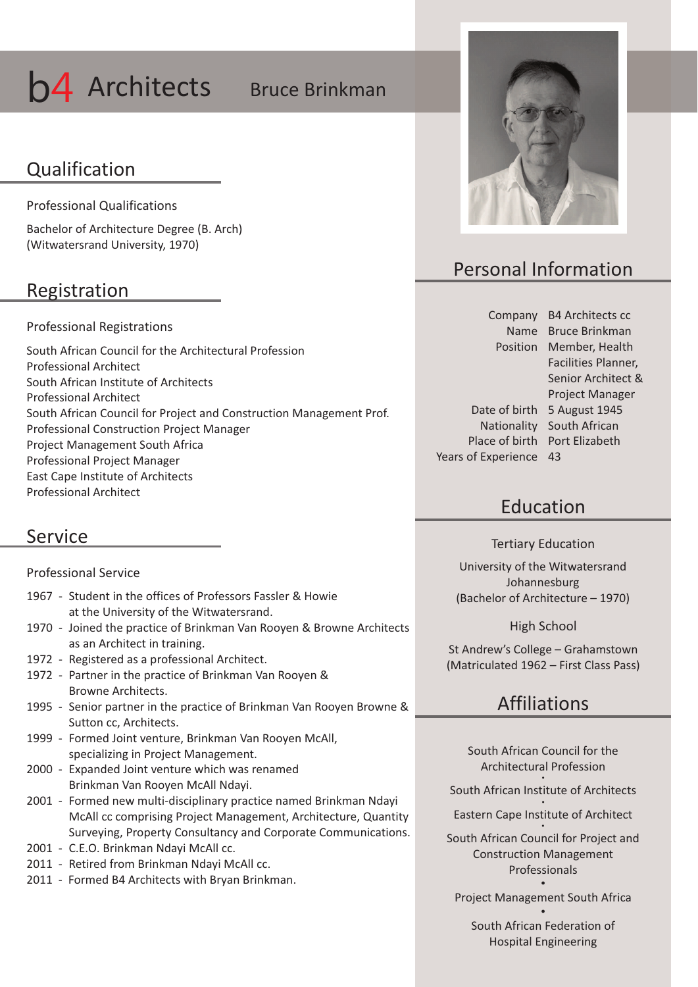# **b4** Architects Bruce Brinkman

### Qualification

Professional Qualifications

Bachelor of Architecture Degree (B. Arch) (Witwatersrand University, 1970)

### Registration

#### Professional Registrations

South African Council for the Architectural Profession Professional Architect South African Institute of Architects Professional Architect South African Council for Project and Construction Management Prof. Professional Construction Project Manager Project Management South Africa Professional Project Manager East Cape Institute of Architects Professional Architect

### Service

Professional Service

| 1967 - Student in the offices of Professors Fassler & Howie |
|-------------------------------------------------------------|
| at the University of the Witwatersrand.                     |

- 1970 Joined the practice of Brinkman Van Rooyen & Browne Architects as an Architect in training.
- 1972 Registered as a professional Architect.
- 1972 Partner in the practice of Brinkman Van Rooyen & Browne Architects.
- 1995 Senior partner in the practice of Brinkman Van Rooyen Browne & Sutton cc, Architects.
- 1999 Formed Joint venture, Brinkman Van Rooyen McAll, specializing in Project Management.
- 2000 Expanded Joint venture which was renamed Brinkman Van Rooyen McAll Ndayi.
- 2001 Formed new multi-disciplinary practice named Brinkman Ndayi McAll cc comprising Project Management, Architecture, Quantity Surveying, Property Consultancy and Corporate Communications.
- 2001 C.E.O. Brinkman Ndayi McAll cc.
- 2011 Retired from Brinkman Ndayi McAll cc.
- 2011 Formed B4 Architects with Bryan Brinkman.



## Personal Information

Company B4 Architects cc Position Member, Health Date of birth 5 August 1945 Nationality South African Place of birth Port Elizabeth Years of Experience 43

Name Bruce Brinkman Facilities Planner, Senior Architect & Project Manager

### Education

Tertiary Education

University of the Witwatersrand Johannesburg (Bachelor of Architecture – 1970)

High School

St Andrew's College – Grahamstown (Matriculated 1962 – First Class Pass)

### Affiliations

South African Council for the Architectural Profession

 $\bullet$ South African Institute of Architects

 $\bullet$ Eastern Cape Institute of Architect  $\bullet$ 

South African Council for Project and Construction Management Professionals  $\bullet$ 

Project Management South Africa  $\bullet$ 

South African Federation of Hospital Engineering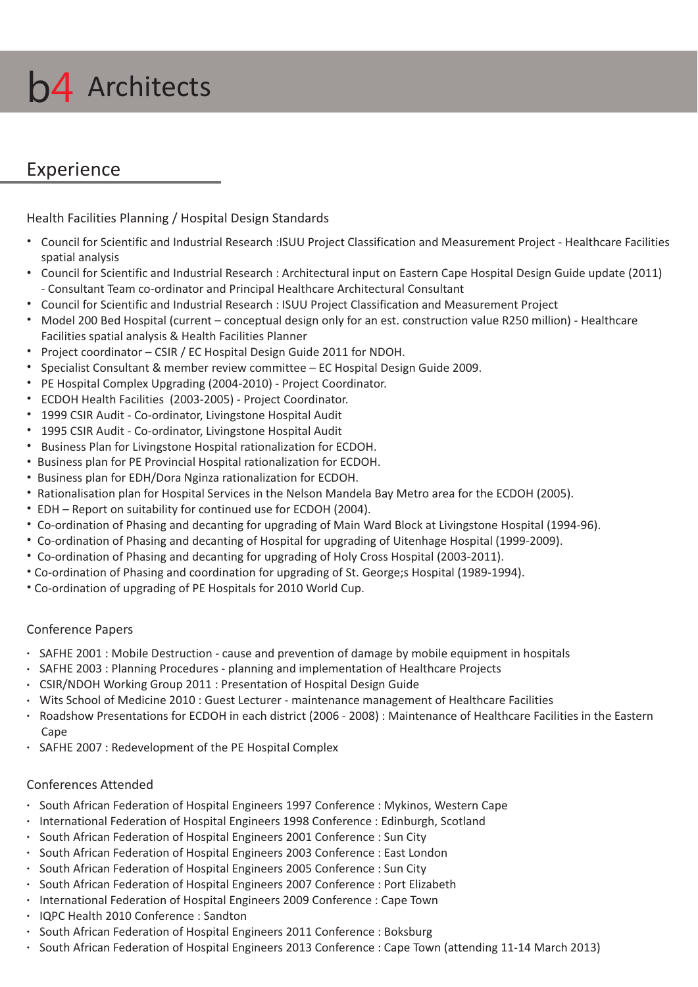

### Experience

Health Facilities Planning / Hospital Design Standards

- \* Council for Scientific and Industrial Research :ISUU Project Classification and Measurement Project Healthcare Facilities spatial analysis
- \* Council for Scientific and Industrial Research : Architectural input on Eastern Cape Hospital Design Guide update (2011) - Consultant Team co-ordinator and Principal Healthcare Architectural Consultant
- Council for Scientific and Industrial Research : ISUU Project Classification and Measurement Project
- \* Model 200 Bed Hospital (current conceptual design only for an est. construction value R250 million) Healthcare Facilities spatial analysis & Health Facilities Planner
- Project coordinator CSIR / EC Hospital Design Guide 2011 for NDOH.
- **\*** Specialist Consultant & member review committee EC Hospital Design Guide 2009.
- PE Hospital Complex Upgrading (2004-2010) Project Coordinator.
- ECDOH Health Facilities (2003-2005) Project Coordinator.
- \* 1999 CSIR Audit Co-ordinator, Livingstone Hospital Audit
- \* 1995 CSIR Audit Co-ordinator, Livingstone Hospital Audit
- **Business Plan for Livingstone Hospital rationalization for ECDOH.**
- Business plan for PE Provincial Hospital rationalization for ECDOH.
- Business plan for EDH/Dora Nginza rationalization for ECDOH.
- Rationalisation plan for Hospital Services in the Nelson Mandela Bay Metro area for the ECDOH (2005).
- EDH Report on suitability for continued use for ECDOH (2004).
- Co-ordination of Phasing and decanting for upgrading of Main Ward Block at Livingstone Hospital (1994-96).
- Co-ordination of Phasing and decanting of Hospital for upgrading of Uitenhage Hospital (1999-2009).
- Co-ordination of Phasing and decanting for upgrading of Holy Cross Hospital (2003-2011).
- Ÿ Co-ordination of Phasing and coordination for upgrading of St. George;s Hospital (1989-1994).
- Co-ordination of upgrading of PE Hospitals for 2010 World Cup.

#### Conference Papers

- SAFHE 2001 : Mobile Destruction cause and prevention of damage by mobile equipment in hospitals
- SAFHE 2003 : Planning Procedures planning and implementation of Healthcare Projects
- CSIR/NDOH Working Group 2011 : Presentation of Hospital Design Guide
- Wits School of Medicine 2010 : Guest Lecturer maintenance management of Healthcare Facilities
- $\cdot$  Roadshow Presentations for ECDOH in each district (2006 2008) : Maintenance of Healthcare Facilities in the Eastern Cape
- SAFHE 2007 : Redevelopment of the PE Hospital Complex

#### Conferences Attended

- South African Federation of Hospital Engineers 1997 Conference : Mykinos, Western Cape
- International Federation of Hospital Engineers 1998 Conference : Edinburgh, Scotland
- South African Federation of Hospital Engineers 2001 Conference : Sun City
- South African Federation of Hospital Engineers 2003 Conference : East London
- South African Federation of Hospital Engineers 2005 Conference : Sun City
- South African Federation of Hospital Engineers 2007 Conference : Port Elizabeth
- International Federation of Hospital Engineers 2009 Conference : Cape Town
- IQPC Health 2010 Conference : Sandton
- South African Federation of Hospital Engineers 2011 Conference : Boksburg
- South African Federation of Hospital Engineers 2013 Conference : Cape Town (attending 11-14 March 2013)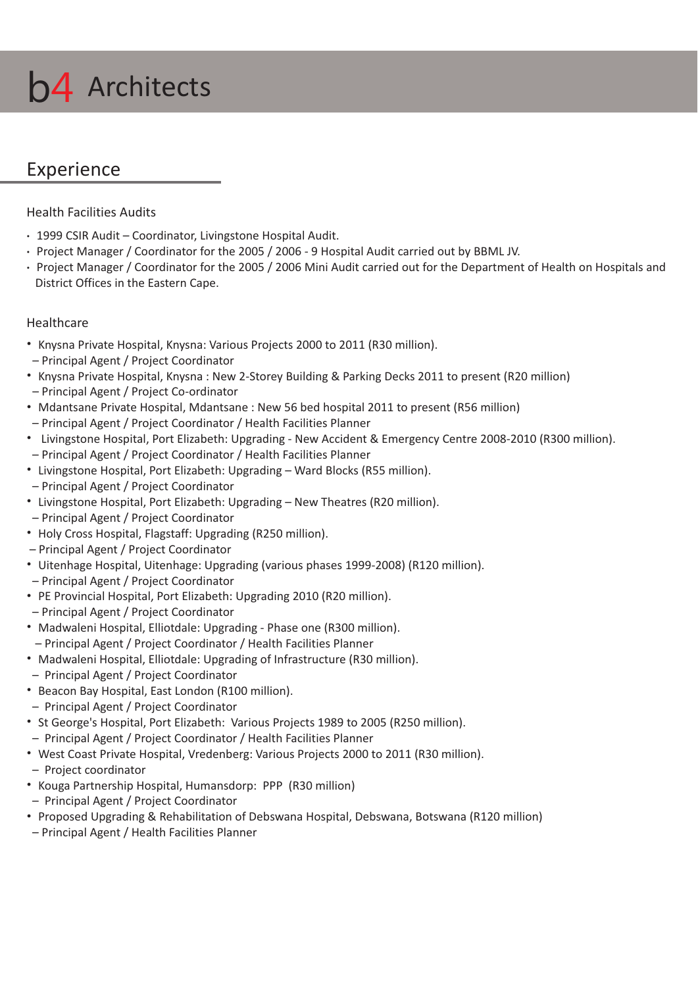

### Experience

Health Facilities Audits

- 1999 CSIR Audit Coordinator, Livingstone Hospital Audit.
- Project Manager / Coordinator for the 2005 / 2006 9 Hospital Audit carried out by BBML JV.
- Project Manager / Coordinator for the 2005 / 2006 Mini Audit carried out for the Department of Health on Hospitals and District Offices in the Eastern Cape.

### Healthcare

- \* Knysna Private Hospital, Knysna: Various Projects 2000 to 2011 (R30 million).
- Principal Agent / Project Coordinator
- \* Knysna Private Hospital, Knysna : New 2-Storey Building & Parking Decks 2011 to present (R20 million) – Principal Agent / Project Co-ordinator
- Mdantsane Private Hospital, Mdantsane : New 56 bed hospital 2011 to present (R56 million)
- Principal Agent / Project Coordinator / Health Facilities Planner
- Livingstone Hospital, Port Elizabeth: Upgrading New Accident & Emergency Centre 2008-2010 (R300 million).
- Principal Agent / Project Coordinator / Health Facilities Planner
- Livingstone Hospital, Port Elizabeth: Upgrading Ward Blocks (R55 million).
- Principal Agent / Project Coordinator
- Livingstone Hospital, Port Elizabeth: Upgrading New Theatres (R20 million).
- Principal Agent / Project Coordinator
- Holy Cross Hospital, Flagstaff: Upgrading (R250 million).
- Principal Agent / Project Coordinator
- Uitenhage Hospital, Uitenhage: Upgrading (various phases 1999-2008) (R120 million).
- Principal Agent / Project Coordinator
- PE Provincial Hospital, Port Elizabeth: Upgrading 2010 (R20 million).
- Principal Agent / Project Coordinator
- Madwaleni Hospital, Elliotdale: Upgrading Phase one (R300 million).
- Principal Agent / Project Coordinator / Health Facilities Planner
- Madwaleni Hospital, Elliotdale: Upgrading of Infrastructure (R30 million).
- Principal Agent / Project Coordinator
- \* Beacon Bay Hospital, East London (R100 million).
- Principal Agent / Project Coordinator
- \* St George's Hospital, Port Elizabeth: Various Projects 1989 to 2005 (R250 million).
- Principal Agent / Project Coordinator / Health Facilities Planner
- \* West Coast Private Hospital, Vredenberg: Various Projects 2000 to 2011 (R30 million).
- Project coordinator
- Kouga Partnership Hospital, Humansdorp: PPP (R30 million)
- Principal Agent / Project Coordinator
- Proposed Upgrading & Rehabilitation of Debswana Hospital, Debswana, Botswana (R120 million)
- Principal Agent / Health Facilities Planner